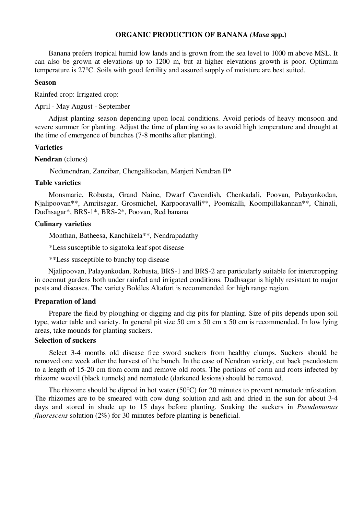#### **ORGANIC PRODUCTION OF BANANA** *(Musa* **spp.)**

Banana prefers tropical humid low lands and is grown from the sea level to 1000 m above MSL. It can also be grown at elevations up to 1200 m, but at higher elevations growth is poor. Optimum temperature is 27°C. Soils with good fertility and assured supply of moisture are best suited.

#### **Season**

Rainfed crop: Irrigated crop:

April - May August - September

Adjust planting season depending upon local conditions. Avoid periods of heavy monsoon and severe summer for planting. Adjust the time of planting so as to avoid high temperature and drought at the time of emergence of bunches (7-8 months after planting).

#### **Varieties**

**Nendran** (clones)

Nedunendran, Zanzibar, Chengalikodan, Manjeri Nendran II\*

#### **Table varieties**

Monsmarie, Robusta, Grand Naine, Dwarf Cavendish, Chenkadali, Poovan, Palayankodan, Njalipoovan\*\*, Amritsagar, Grosmichel, Karpooravalli\*\*, Poomkalli, Koompillakannan\*\*, Chinali, Dudhsagar\*, BRS-1\*, BRS-2\*, Poovan, Red banana

## **Culinary varieties**

Monthan, Batheesa, Kanchikela\*\*, Nendrapadathy

\*Less susceptible to sigatoka leaf spot disease

\*\*Less susceptible to bunchy top disease

Njalipoovan, Palayankodan, Robusta, BRS-1 and BRS-2 are particularly suitable for intercropping in coconut gardens both under rainfed and irrigated conditions. Dudhsagar is highly resistant to major pests and diseases. The variety Boldles Altafort is recommended for high range region.

#### **Preparation of land**

Prepare the field by ploughing or digging and dig pits for planting. Size of pits depends upon soil type, water table and variety. In general pit size 50 cm x 50 cm x 50 cm is recommended. In low lying areas, take mounds for planting suckers.

#### **Selection of suckers**

Select 3-4 months old disease free sword suckers from healthy clumps. Suckers should be removed one week after the harvest of the bunch. In the case of Nendran variety, cut back pseudostem to a length of 15-20 cm from corm and remove old roots. The portions of corm and roots infected by rhizome weevil (black tunnels) and nematode (darkened lesions) should be removed.

The rhizome should be dipped in hot water (50°C) for 20 minutes to prevent nematode infestation. The rhizomes are to be smeared with cow dung solution and ash and dried in the sun for about 3-4 days and stored in shade up to 15 days before planting. Soaking the suckers in *Pseudomonas fluorescens* solution (2%) for 30 minutes before planting is beneficial.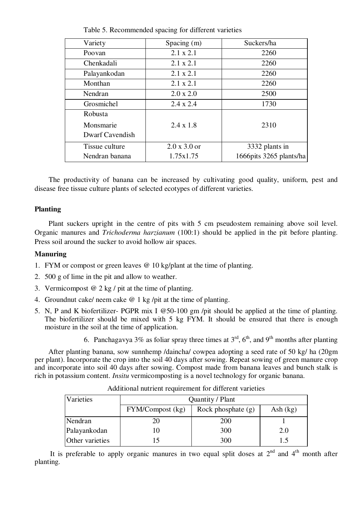| Variety                | Spacing (m)         | Suckers/ha              |  |
|------------------------|---------------------|-------------------------|--|
| Poovan                 | $2.1 \times 2.1$    | 2260                    |  |
| Chenkadali             | $2.1 \times 2.1$    | 2260                    |  |
| Palayankodan           | $2.1 \times 2.1$    | 2260                    |  |
| Monthan                | $2.1 \times 2.1$    | 2260                    |  |
| Nendran                | $2.0 \times 2.0$    | 2500                    |  |
| Grosmichel             | $2.4 \times 2.4$    | 1730                    |  |
| <b>Robusta</b>         |                     |                         |  |
| Monsmarie              | $2.4 \times 1.8$    | 2310                    |  |
| <b>Dwarf Cavendish</b> |                     |                         |  |
| Tissue culture         | $2.0 \times 3.0$ or | 3332 plants in          |  |
| Nendran banana         | 1.75x1.75           | 1666pits 3265 plants/ha |  |

Table 5. Recommended spacing for different varieties

The productivity of banana can be increased by cultivating good quality, uniform, pest and disease free tissue culture plants of selected ecotypes of different varieties.

#### **Planting**

Plant suckers upright in the centre of pits with 5 cm pseudostem remaining above soil level. Organic manures and *Trichoderma harzianum* (100:1) should be applied in the pit before planting. Press soil around the sucker to avoid hollow air spaces.

#### **Manuring**

- 1. FYM or compost or green leaves @ 10 kg/plant at the time of planting.
- 2. 500 g of lime in the pit and allow to weather.
- 3. Vermicompost  $\omega$  2 kg / pit at the time of planting.
- 4. Groundnut cake/ neem cake @ 1 kg /pit at the time of planting.
- 5. N, P and K biofertilizer- PGPR mix I @50-100 gm /pit should be applied at the time of planting. The biofertilizer should be mixed with 5 kg FYM. It should be ensured that there is enough moisture in the soil at the time of application.
	- 6. Panchagavya 3% as foliar spray three times at  $3<sup>rd</sup>$ ,  $6<sup>th</sup>$ , and 9<sup>th</sup> months after planting

After planting banana, sow sunnhemp /daincha/ cowpea adopting a seed rate of 50 kg/ ha (20gm per plant). Incorporate the crop into the soil 40 days after sowing. Repeat sowing of green manure crop and incorporate into soil 40 days after sowing. Compost made from banana leaves and bunch stalk is rich in potassium content. *Insitu* vermicomposting is a novel technology for organic banana.

| Varieties       | Quantity / Plant |                      |            |  |
|-----------------|------------------|----------------------|------------|--|
|                 | FYM/Compost (kg) | Rock phosphate $(g)$ | Ash $(kg)$ |  |
| Nendran         | 20               | 200                  |            |  |
| Palayankodan    | 10               | 300                  | 2.0        |  |
| Other varieties |                  | 300                  |            |  |

Additional nutrient requirement for different varieties

It is preferable to apply organic manures in two equal split doses at  $2<sup>nd</sup>$  and  $4<sup>th</sup>$  month after planting.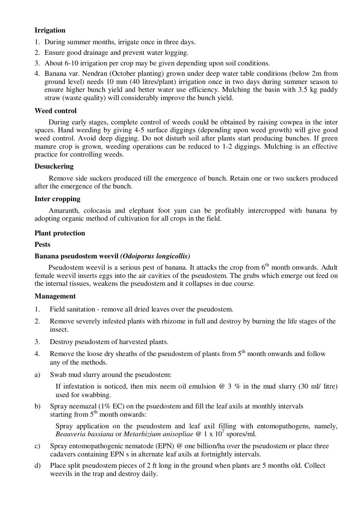## **Irrigation**

- 1. During summer months, irrigate once in three days.
- 2. Ensure good drainage and prevent water logging.
- 3. About 6-10 irrigation per crop may be given depending upon soil conditions.
- 4. Banana var. Nendran (October planting) grown under deep water table conditions (below 2m from ground level) needs 10 mm (40 litres/plant) irrigation once in two days during summer season to ensure higher bunch yield and better water use efficiency. Mulching the basin with 3.5 kg paddy straw (waste quality) will considerably improve the bunch yield.

## **Weed control**

During early stages, complete control of weeds could be obtained by raising cowpea in the inter spaces. Hand weeding by giving 4-5 surface diggings (depending upon weed growth) will give good weed control. Avoid deep digging. Do not disturb soil after plants start producing bunches. If green manure crop is grown, weeding operations can be reduced to 1-2 diggings. Mulching is an effective practice for controlling weeds.

## **Desuckering**

Remove side suckers produced till the emergence of bunch. Retain one or two suckers produced after the emergence of the bunch.

## **Inter cropping**

Amaranth, colocasia and elephant foot yam can be profitably intercropped with banana by adopting organic method of cultivation for all crops in the field.

## **Plant protection**

## **Pests**

## **Banana pseudostem weevil** *(Odoiporus longicollis)*

Pseudostem weevil is a serious pest of banana. It attacks the crop from 6<sup>th</sup> month onwards. Adult female weevil inserts eggs into the air cavities of the pseudostem. The grubs which emerge out feed on the internal tissues, weakens the pseudostem and it collapses in due course.

## **Management**

- 1. Field sanitation remove all dried leaves over the pseudostem.
- 2. Remove severely infested plants with rhizome in full and destroy by burning the life stages of the insect.
- 3. Destroy pseudostem of harvested plants.
- 4. Remove the loose dry sheaths of the pseudostem of plants from  $5<sup>th</sup>$  month onwards and follow any of the methods.
- a) Swab mud slurry around the pseudostem:

If infestation is noticed, then mix neem oil emulsion  $\omega$  3 % in the mud slurry (30 ml/ litre) used for swabbing.

b) Spray neemazal (1% EC) on the psuedostem and fill the leaf axils at monthly intervals starting from  $5<sup>th</sup>$  month onwards:

Spray application on the pseudostem and leaf axil filling with entomopathogens, namely, *Beauveria bassiana* or *Metarhizium anisopliae @* 1 x 10<sup>7</sup> spores/ml.

- c) Spray entomopathogenic nematode (EPN) @ one billion/ha over the pseudostem or place three cadavers containing EPN s in alternate leaf axils at fortnightly intervals.
- d) Place split pseudostem pieces of 2 ft long in the ground when plants are 5 months old. Collect weevils in the trap and destroy daily.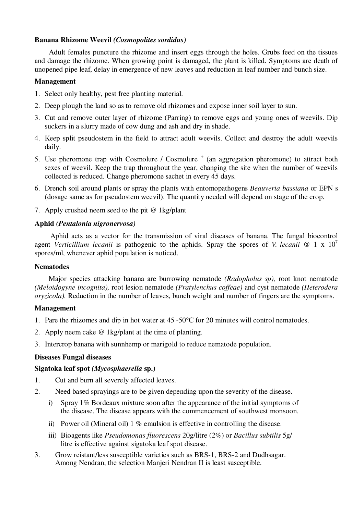## **Banana Rhizome Weevil** *(Cosmopolites sordidus)*

Adult females puncture the rhizome and insert eggs through the holes. Grubs feed on the tissues and damage the rhizome. When growing point is damaged, the plant is killed. Symptoms are death of unopened pipe leaf, delay in emergence of new leaves and reduction in leaf number and bunch size.

## **Management**

- 1. Select only healthy, pest free planting material.
- 2. Deep plough the land so as to remove old rhizomes and expose inner soil layer to sun.
- 3. Cut and remove outer layer of rhizome (Parring) to remove eggs and young ones of weevils. Dip suckers in a slurry made of cow dung and ash and dry in shade.
- 4. Keep split pseudostem in the field to attract adult weevils. Collect and destroy the adult weevils daily.
- 5. Use pheromone trap with Cosmolure / Cosmolure  $^+$  (an aggregation pheromone) to attract both sexes of weevil. Keep the trap throughout the year, changing the site when the number of weevils collected is reduced. Change pheromone sachet in every 45 days.
- 6. Drench soil around plants or spray the plants with entomopathogens *Beauveria bassiana* or EPN s (dosage same as for pseudostem weevil). The quantity needed will depend on stage of the crop.
- 7. Apply crushed neem seed to the pit @ 1kg/plant

## **Aphid** *(Pentalonia nigronervosa)*

Aphid acts as a vector for the transmission of viral diseases of banana. The fungal biocontrol agent *Verticillium lecanii* is pathogenic to the aphids. Spray the spores of *V. lecanii @* 1 x 10<sup>7</sup> spores/ml, whenever aphid population is noticed.

## **Nematodes**

Major species attacking banana are burrowing nematode *(Radopholus sp),* root knot nematode *(Meloidogyne incognita),* root lesion nematode *(Pratylenchus coffeae)* and cyst nematode *(Heterodera oryzicola).* Reduction in the number of leaves, bunch weight and number of fingers are the symptoms.

## **Management**

- 1. Pare the rhizomes and dip in hot water at 45 -50°C for 20 minutes will control nematodes.
- 2. Apply neem cake @ 1kg/plant at the time of planting.
- 3. Intercrop banana with sunnhemp or marigold to reduce nematode population.

## **Diseases Fungal diseases**

## **Sigatoka leaf spot** *(Mycosphaerella* **sp.)**

- 1. Cut and burn all severely affected leaves.
- 2. Need based sprayings are to be given depending upon the severity of the disease.
	- i) Spray 1% Bordeaux mixture soon after the appearance of the initial symptoms of the disease. The disease appears with the commencement of southwest monsoon.
	- ii) Power oil (Mineral oil) 1 % emulsion is effective in controlling the disease.
	- iii) Bioagents like *Pseudomonas fluorescens* 20g/litre (2%) or *Bacillus subtilis* 5g/ litre is effective against sigatoka leaf spot disease.
- 3. Grow reistant/less susceptible varieties such as BRS-1, BRS-2 and Dudhsagar. Among Nendran, the selection Manjeri Nendran II is least susceptible.